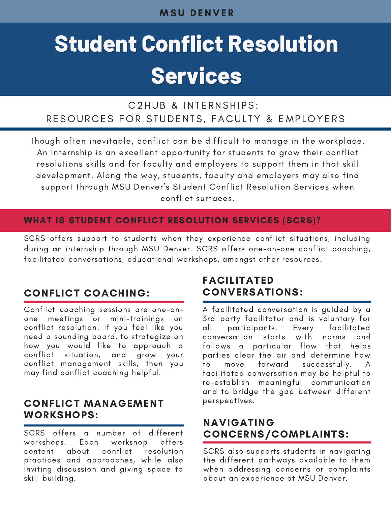## **MSU DENVER**

# **Student Conflict Resolution Services Services**

# C 2 H U B & IN T E R N S H I P S : RESOURCES FOR STUDENTS, FACULTY & EMPLOYERS

 Though often inevitable, conflict can be difficult to manage in the workplace. An internship is an excellent opportunity for students to grow their conflict resolutions skills and for faculty and employers to support them in that skill development. Along the way, students, faculty and employers may also find support through MSU Denver's Student Conflict Resolution Services when conflict surfaces.

## WHAT IS STUDENT CONFLICT RESOLUTION SERVICES (SCRS)?

 SCRS offers support to students when they experience conflict situations, including during an internship through MSU Denver. SCRS offers one-on-one conflict coaching, facilitated conversations, educational workshops, amongst other resources.

# CONFLICT COACHING:

Conflict coaching sessions are one-onone meetings or mini-trainings on conflict resolution. If you feel like you need a sounding board, to strategize on how you would like to approach a conflict situation, and grow your conflict management skills, then you may find conflict coaching helpful.

## CONFLICT MANAGEMENT WORKSHOPS:

 SCRS offers a number of different workshops. Each workshop offers content about conflict resolution practices and approaches, while also inviting discussion and giving space to skill-building.

# FACILITATED CONVERSATIONS:

 A facilitated conversation is guided by a 3rd party facilitator and is voluntary for all participants. Every facilitated conversation starts with norms and follows a particular flow that helps parties clear the air and determine how  $\overline{\phantom{0}}$  facilitated conversation may be helpful to and to bridge the gap between different move forward successfully. A re-establish meaningful communication perspectives.

# NAVIGATING CONCERNS/COMPLAINTS:

 SCRS also supports students in navigating the different pathways available to them when addressing concerns or complaints about an experience at MSU Denver.